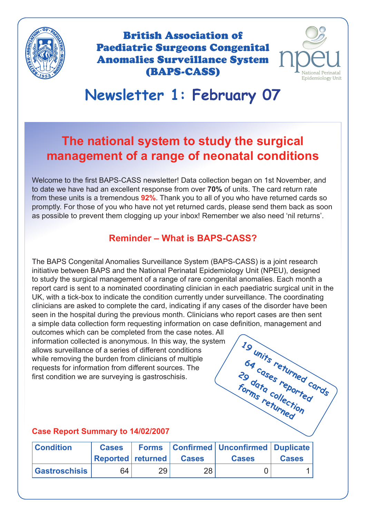

British Association of Paediatric Surgeons Congenital Anomalies Surveillance System (BAPS-CASS)



19 units returned cards<br>09 cases returned cards<br>orme course

64 <sup>cases</sup> returned<br>9 cases reported<br><sup>9 cases</sup> reported

**29 data collection forms returned**

# **Newsletter 1: February 07**

## **The national system to study the surgical management of a range of neonatal conditions**

Welcome to the first BAPS-CASS newsletter! Data collection began on 1st November, and to date we have had an excellent response from over **70%** of units. The card return rate from these units is a tremendous **92%**. Thank you to all of you who have returned cards so promptly. For those of you who have not yet returned cards, please send them back as soon as possible to prevent them clogging up your inbox! Remember we also need 'nil returns'.

### **Reminder – What is BAPS-CASS?**

The BAPS Congenital Anomalies Surveillance System (BAPS-CASS) is a joint research initiative between BAPS and the National Perinatal Epidemiology Unit (NPEU), designed to study the surgical management of a range of rare congenital anomalies. Each month a report card is sent to a nominated coordinating clinician in each paediatric surgical unit in the UK, with a tick-box to indicate the condition currently under surveillance. The coordinating clinicians are asked to complete the card, indicating if any cases of the disorder have been seen in the hospital during the previous month. Clinicians who report cases are then sent a simple data collection form requesting information on case definition, management and

outcomes which can be completed from the case notes. All information collected is anonymous. In this way, the system allows surveillance of a series of different conditions while removing the burden from clinicians of multiple requests for information from different sources. The first condition we are surveying is gastroschisis.

#### **Case Report Summary to 14/02/2007**

| <b>Condition</b>     | <b>Cases</b>      | <b>Forms</b> |              | Confirmed   Unconfirmed   Duplicate |              |
|----------------------|-------------------|--------------|--------------|-------------------------------------|--------------|
|                      | Reported returned |              | <b>Cases</b> | <b>Cases</b>                        | <b>Cases</b> |
| <b>Gastroschisis</b> | 64                | 29           | 28           |                                     |              |